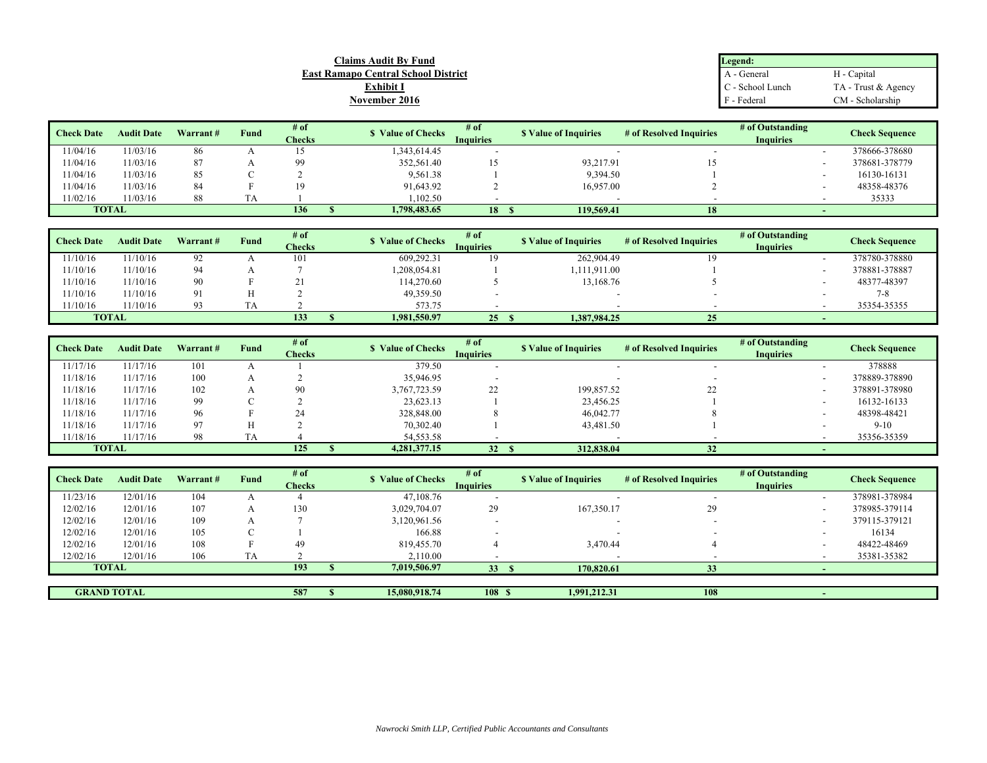| Claims Audit Bv Fund                       | Legend:          |                     |
|--------------------------------------------|------------------|---------------------|
| <b>East Ramapo Central School District</b> | A - General      | H - Capital         |
| <u>Exhibit I</u>                           | C - School Lunch | TA - Trust & Agency |
| November 2016                              | F - Federal      | CM - Scholarship    |

| <b>Check Date</b> | <b>Audit Date</b> | Warrant# | Fund | $#$ of<br><b>Checks</b> | <b>S</b> Value of Checks | # of<br><b>Inquiries</b> | <b>S</b> Value of Inquiries | # of Resolved Inquiries | # of Outstanding<br><b>Inquiries</b> | <b>Check Sequence</b> |
|-------------------|-------------------|----------|------|-------------------------|--------------------------|--------------------------|-----------------------------|-------------------------|--------------------------------------|-----------------------|
| 11/04/16          | 11/03/16          | 86       |      |                         | 343,614.45               |                          |                             |                         |                                      | 378666-378680         |
| 11/04/16          | 1/03/16           | 87       |      |                         | 352,561.40               |                          | 93,217.91                   |                         |                                      | 378681-378779         |
| 11/04/16          | 11/03/16          | 85       |      |                         | 9,561.38                 |                          | 9,394.50                    |                         |                                      | 16130-16131           |
| 11/04/16          | 11/03/16          | 84       |      | 19                      | 91,643.92                |                          | 16,957.00                   |                         |                                      | 48358-48376           |
| 11/02/16          | 1/03/16           | 88       |      |                         | ,102.50                  |                          |                             |                         |                                      | 35333                 |
| <b>TOTAL</b>      |                   |          |      | 136                     | 1.798.483.65             | 18                       | 119,569.41                  | 18                      |                                      |                       |

| <b>Check Date</b> | <b>Audit Date</b> | Warrant#       | Fund | # of          | <b>S</b> Value of Checks | # of             | <b>S</b> Value of Inquiries | # of Resolved Inquiries | # of Outstanding         | <b>Check Sequence</b> |
|-------------------|-------------------|----------------|------|---------------|--------------------------|------------------|-----------------------------|-------------------------|--------------------------|-----------------------|
|                   |                   |                |      | <b>Checks</b> |                          | <b>Inquiries</b> |                             |                         | <b>Inquiries</b>         |                       |
| 1/10/16           | 11/10/16          | 92             |      | 101           | 609,292.31               |                  | 262,904.49                  |                         | $\overline{\phantom{0}}$ | 378780-378880         |
| 1/10/16           | 11/10/16          | 94             |      |               | ,208,054.81              |                  | 1.111.911.00                |                         |                          | 378881-378887         |
| 1/10/16           | 11/10/16          | 90             |      |               | 114,270.60               |                  | 13,168.76                   |                         |                          | 48377-48397           |
| 1/10/16           | 11/10/16          | $\Omega$       |      |               | 49,359.50                |                  |                             |                         |                          | 7-8                   |
| 1/10/16           | 11/10/16          | Q <sub>3</sub> | ΙA   |               | 573.75                   |                  |                             |                         |                          | 35354-35355           |
| <b>TOTAL</b>      |                   |                |      | 133           | 1.981.550.97             | 25.              | 1.387.984.25                | 25                      |                          |                       |

| <b>Check Date</b> | <b>Audit Date</b> | Warrant# | Fund | # of<br><b>Checks</b> | <b>S</b> Value of Checks | # of<br><b>Inquiries</b> | <b>S</b> Value of Inquiries | # of Resolved Inquiries | # of Outstanding<br><b>Inquiries</b> | <b>Check Sequence</b> |
|-------------------|-------------------|----------|------|-----------------------|--------------------------|--------------------------|-----------------------------|-------------------------|--------------------------------------|-----------------------|
| 1/17/16           | 11/17/16          | 101      |      |                       | 379.50                   |                          |                             |                         |                                      | 378888                |
| 1/18/16           | 11/17/16          | 100      |      |                       | 35,946.95                |                          |                             |                         |                                      | 378889-378890         |
| 1/18/16           | 11/17/16          | 102      |      | 90                    | 3,767,723.59             | 22                       | 199,857.52                  | 22                      |                                      | 378891-378980         |
| 1/18/16           | 11/17/16          | 99       |      |                       | 23,623.13                |                          | 23,456.25                   |                         |                                      | 16132-16133           |
| 1/18/16           | 11/17/16          | 96       |      |                       | 328,848.00               |                          | 46,042.77                   |                         |                                      | 48398-48421           |
| 1/18/16           | 11/17/16          | 97       |      |                       | 70,302.40                |                          | 43,481.50                   |                         |                                      | $9-10$                |
| 1/18/16           | 11/17/16          | 98       | TA   |                       | 54,553.58                |                          |                             |                         |                                      | 35356-35359           |
|                   | <b>TOTAL</b>      |          |      | 125                   | 4,281,377.15             | 32 <sup>2</sup>          | 312,838.04                  | 32                      |                                      |                       |

| <b>Check Date</b> | <b>Audit Date</b>  | Warrant# | Fund      | # of<br><b>Checks</b> | <b>S</b> Value of Checks | # of<br><b>Inquiries</b> | <b>S</b> Value of Inquiries | # of Resolved Inquiries | # of Outstanding<br><b>Inquiries</b> | <b>Check Sequence</b> |
|-------------------|--------------------|----------|-----------|-----------------------|--------------------------|--------------------------|-----------------------------|-------------------------|--------------------------------------|-----------------------|
| 11/23/16          | 12/01/16           | 104      |           |                       | 47,108.76                |                          |                             |                         | $\overline{\phantom{a}}$             | 378981-378984         |
| 12/02/16          | 12/01/16           | 107      |           | 130                   | 3,029,704.07             | 29                       | 167,350.17                  | 29                      | $\overline{\phantom{0}}$             | 378985-379114         |
| 12/02/16          | 12/01/16           | 109      |           |                       | 3,120,961.56             |                          |                             |                         | $\overline{\phantom{a}}$             | 379115-379121         |
| 12/02/16          | 12/01/16           | 105      |           |                       | 166.88                   |                          |                             |                         |                                      | 16134                 |
| 12/02/16          | 12/01/16           | 108      |           | 49                    | 819,455.70               |                          | 3,470.44                    |                         |                                      | 48422-48469           |
| 12/02/16          | 12/01/16           | 106      | <b>TA</b> |                       | 2.110.00                 |                          |                             |                         |                                      | 35381-35382           |
|                   | <b>TOTAL</b>       |          |           | 193                   | 7,019,506.97             | 33 <sup>2</sup>          | 170,820.61                  | 33                      |                                      |                       |
|                   |                    |          |           |                       |                          |                          |                             |                         |                                      |                       |
|                   | <b>GRAND TOTAL</b> |          |           | 587                   | 15,080,918.74            | 108 S                    | 1,991,212.31                | 108                     |                                      |                       |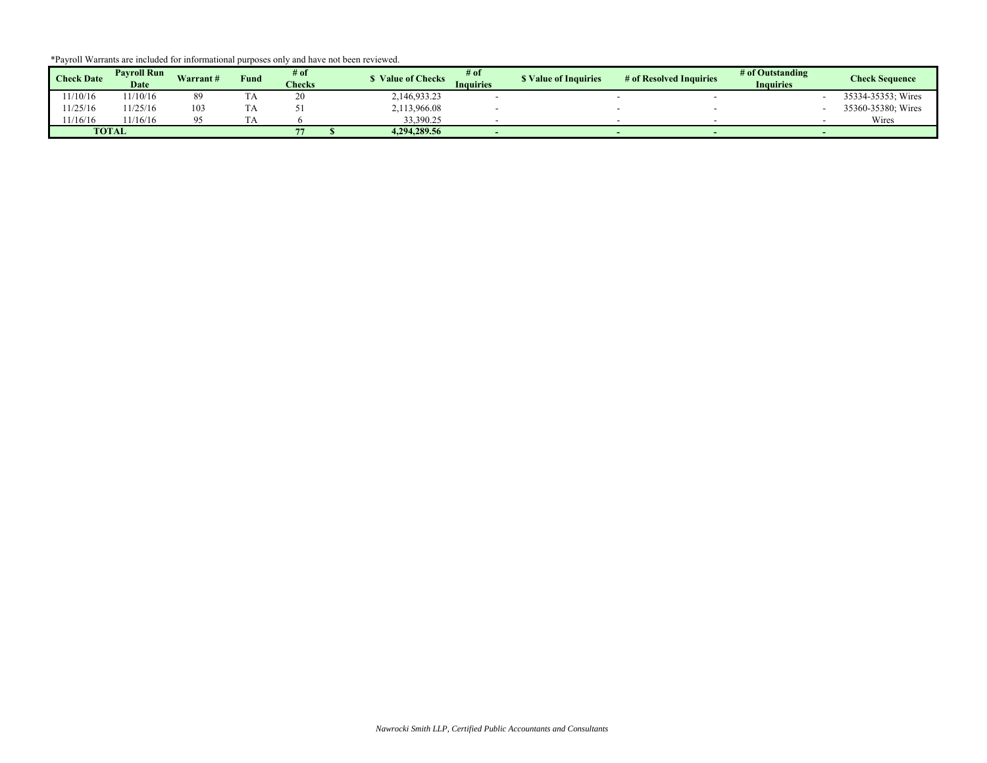|  |  |  | *Payroll Warrants are included for informational purposes only and have not been reviewed. |
|--|--|--|--------------------------------------------------------------------------------------------|
|  |  |  |                                                                                            |

| <b>Check Date</b> | <b>Pavroll Run</b><br>Date | Warrant# | Fund | # of<br><b>Checks</b> | <b>Value of Checks</b> | $#$ of<br>Inauiries | <b>S</b> Value of Inquiries | # of Resolved Inquiries | # of Outstanding<br><b>Inquiries</b> | <b>Check Sequence</b> |
|-------------------|----------------------------|----------|------|-----------------------|------------------------|---------------------|-----------------------------|-------------------------|--------------------------------------|-----------------------|
| 1/10/16           | 1/10/16                    |          | 1 A  |                       | 2,146,933.23           |                     |                             |                         |                                      | 35334-35353; Wires    |
| 1/25/16           | 1/25/16                    | 103      | ר ב  |                       | 2,113,966.08           |                     |                             |                         |                                      | 35360-35380; Wires    |
| 1/16/16           | 1/16/16                    |          |      |                       | 33,390.25              |                     |                             |                         |                                      | Wires                 |
|                   | <b>TOTAL</b>               |          |      |                       | 4.294.289.56           |                     |                             |                         |                                      |                       |